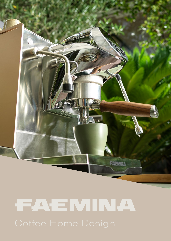

# FAEMINA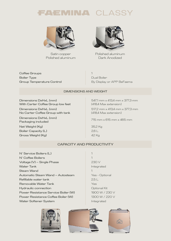# **EMINA CLA**



Satin copper Polished aluminum



Polished aluminum Dark Anodized

Coffee Groups Boiler Type Group Temperature Control 1 Dual Boiler By Display or APP BeFaema

### DIMENSIONS AND WEIGHT

Dimensions DxHxL (mm) With Carter Coffee Group low feet

Dimensions DxHxL (mm) No Carter Coffee Group with tank

Dimensions DxHxL (mm) Packaging included

Net Weight (Kg) Boiler Capacity (L) Gross Weight (Kg)

547,1 mm x 413,4 mm x 377,3 mm (418,4 Max extension)

517,2 mm x 413,4 mm x 377,3 mm (418,4 Max extension)

715 mm x 615 mm x 465 mm

35,2 Kg 2,6 L 42 Kg

# CAPACITY AND PRODUCTIVITY

- Removable Water Tank Hydraulic connection Power Resistance Service Boiler (W) Power Resistance Coffee Boiler (W) Water Softener System N° Service Boilers (L) N° Coffee Boilers Voltage (V) – Single Phase Water Tank Steam Wand Automatic Steam Wand – Autosteam Refillable water tank
- Yes 1 1 230 V Integrated 1 Yes - Optional 2,5 L Optional Kit 1900 W / 230 V 1300 W / 220 V Integrated